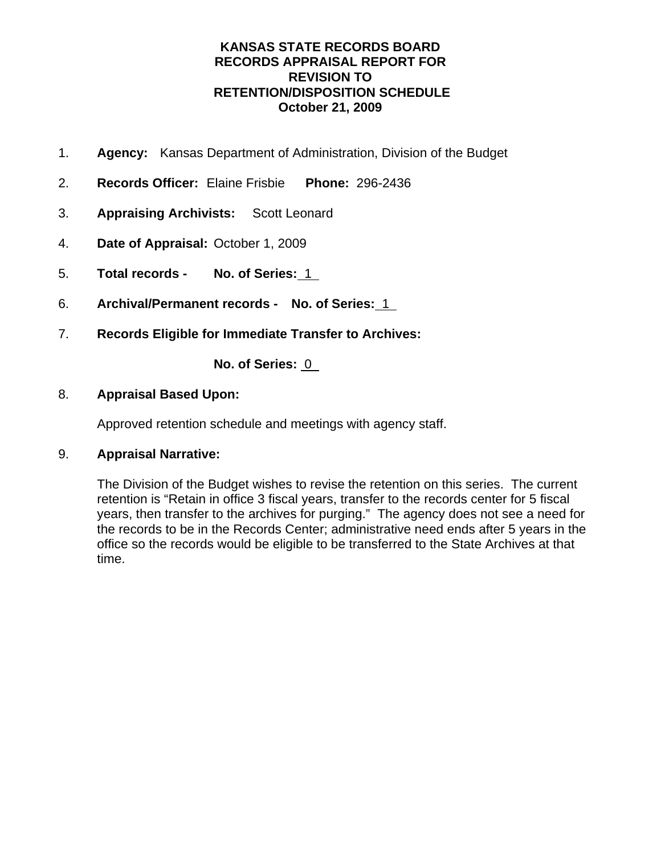- 1. **Agency:** Kansas Department of Administration, Division of the Budget
- 2. **Records Officer:** Elaine Frisbie **Phone:** 296-2436
- 3. **Appraising Archivists:** Scott Leonard
- 4. **Date of Appraisal:** October 1, 2009
- 5. **Total records No. of Series:** 1
- 6. **Archival/Permanent records No. of Series:** 1
- 7. **Records Eligible for Immediate Transfer to Archives:**

**No. of Series:** 0

## 8. **Appraisal Based Upon:**

Approved retention schedule and meetings with agency staff.

## 9. **Appraisal Narrative:**

The Division of the Budget wishes to revise the retention on this series. The current retention is "Retain in office 3 fiscal years, transfer to the records center for 5 fiscal years, then transfer to the archives for purging." The agency does not see a need for the records to be in the Records Center; administrative need ends after 5 years in the office so the records would be eligible to be transferred to the State Archives at that time.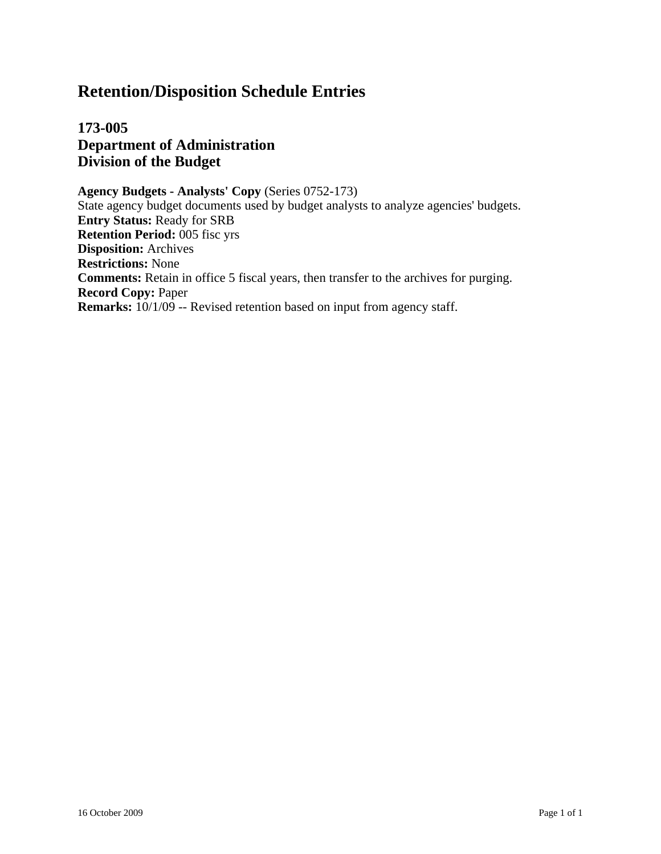**173-005 Department of Administration Division of the Budget**

**Agency Budgets - Analysts' Copy** (Series 0752-173) State agency budget documents used by budget analysts to analyze agencies' budgets. **Entry Status:** Ready for SRB **Retention Period:** 005 fisc yrs **Disposition:** Archives **Restrictions:** None **Comments:** Retain in office 5 fiscal years, then transfer to the archives for purging. **Record Copy:** Paper **Remarks:**  $10/1/09$  -- Revised retention based on input from agency staff.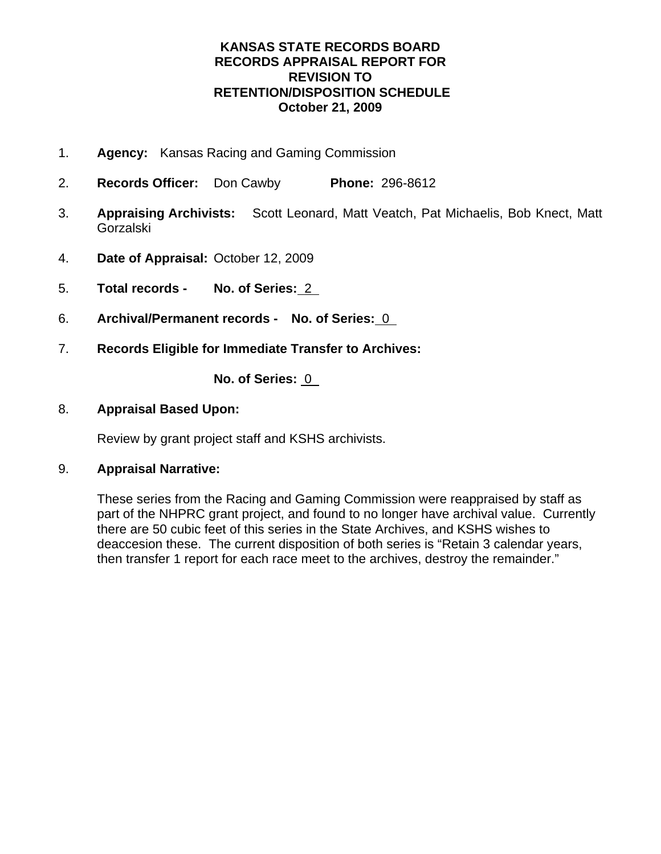- 1. **Agency:** Kansas Racing and Gaming Commission
- 2. **Records Officer:** Don Cawby **Phone:** 296-8612
- 3. **Appraising Archivists:** Scott Leonard, Matt Veatch, Pat Michaelis, Bob Knect, Matt Gorzalski
- 4. **Date of Appraisal:** October 12, 2009
- 5. **Total records No. of Series:** 2
- 6. **Archival/Permanent records No. of Series:** 0
- 7. **Records Eligible for Immediate Transfer to Archives:**

**No. of Series:** 0

## 8. **Appraisal Based Upon:**

Review by grant project staff and KSHS archivists.

## 9. **Appraisal Narrative:**

These series from the Racing and Gaming Commission were reappraised by staff as part of the NHPRC grant project, and found to no longer have archival value. Currently there are 50 cubic feet of this series in the State Archives, and KSHS wishes to deaccesion these. The current disposition of both series is "Retain 3 calendar years, then transfer 1 report for each race meet to the archives, destroy the remainder."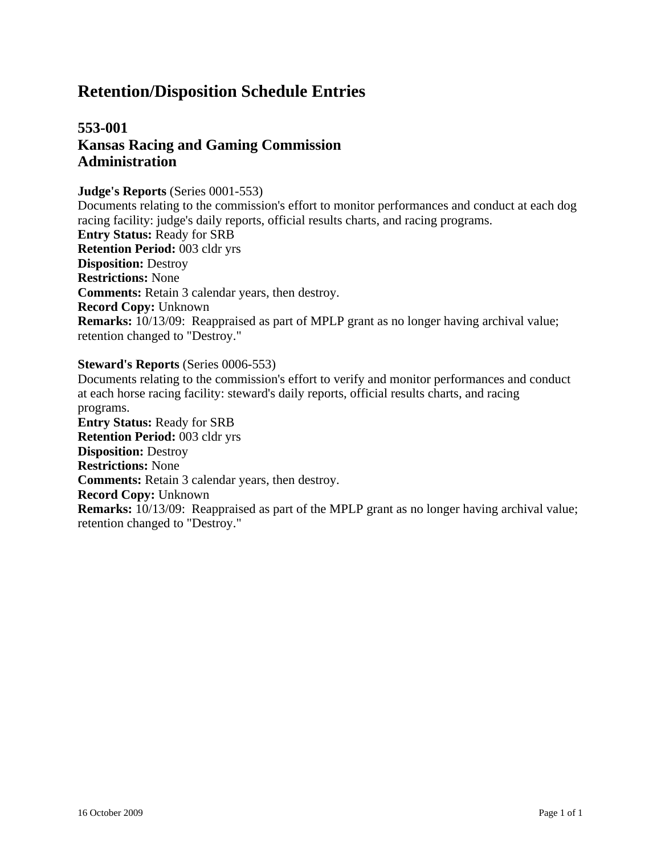## **553-001 Kansas Racing and Gaming Commission Administration**

#### **Judge's Reports** (Series 0001-553)

Documents relating to the commission's effort to monitor performances and conduct at each dog racing facility: judge's daily reports, official results charts, and racing programs. **Entry Status:** Ready for SRB **Retention Period:** 003 cldr yrs **Disposition:** Destroy **Restrictions:** None **Comments:** Retain 3 calendar years, then destroy. **Record Copy:** Unknown **Remarks:** 10/13/09: Reappraised as part of MPLP grant as no longer having archival value; retention changed to "Destroy."

#### **Steward's Reports** (Series 0006-553)

Documents relating to the commission's effort to verify and monitor performances and conduct at each horse racing facility: steward's daily reports, official results charts, and racing programs. **Entry Status:** Ready for SRB **Retention Period:** 003 cldr yrs **Disposition:** Destroy **Restrictions:** None **Comments:** Retain 3 calendar years, then destroy. **Record Copy:** Unknown **Remarks:** 10/13/09: Reappraised as part of the MPLP grant as no longer having archival value; retention changed to "Destroy."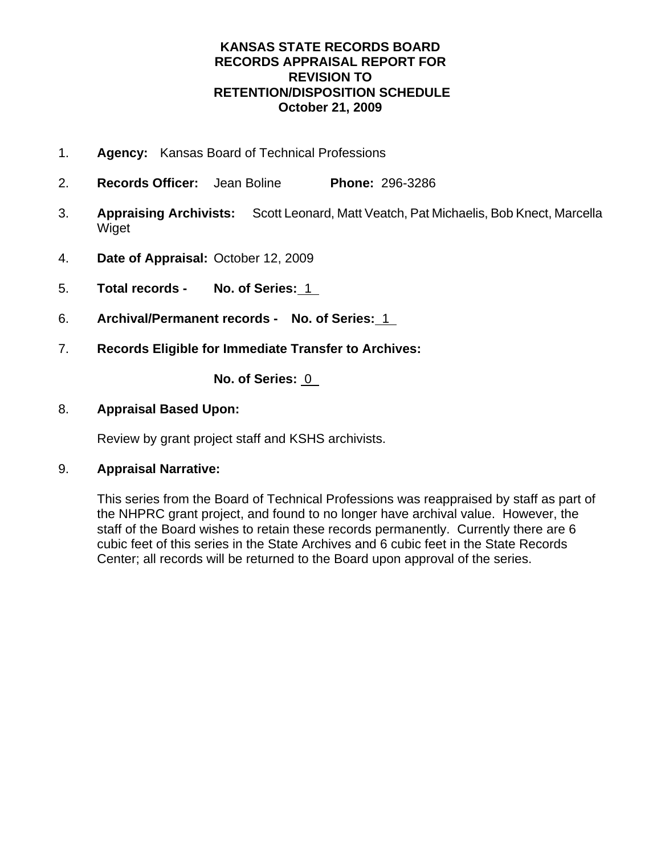- 1. **Agency:** Kansas Board of Technical Professions
- 2. **Records Officer:** Jean Boline **Phone:** 296-3286
- 3. **Appraising Archivists:** Scott Leonard, Matt Veatch, Pat Michaelis, Bob Knect, Marcella Wiget
- 4. **Date of Appraisal:** October 12, 2009
- 5. **Total records No. of Series:** 1
- 6. **Archival/Permanent records No. of Series:** 1
- 7. **Records Eligible for Immediate Transfer to Archives:**

**No. of Series:** 0

## 8. **Appraisal Based Upon:**

Review by grant project staff and KSHS archivists.

## 9. **Appraisal Narrative:**

This series from the Board of Technical Professions was reappraised by staff as part of the NHPRC grant project, and found to no longer have archival value. However, the staff of the Board wishes to retain these records permanently. Currently there are 6 cubic feet of this series in the State Archives and 6 cubic feet in the State Records Center; all records will be returned to the Board upon approval of the series.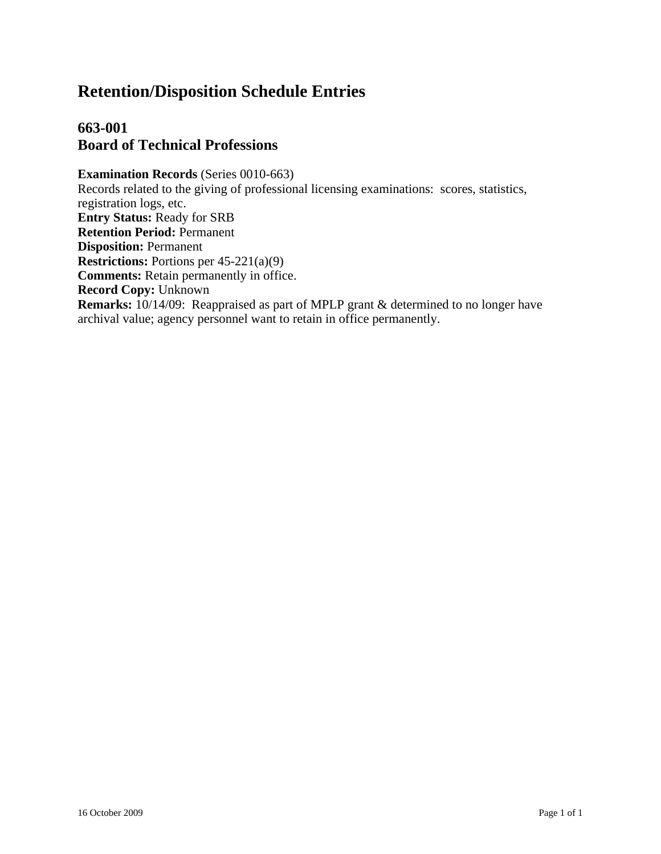## **663-001 Board of Technical Professions**

**Examination Records** (Series 0010-663) Records related to the giving of professional licensing examinations: scores, statistics, registration logs, etc. **Entry Status:** Ready for SRB **Retention Period:** Permanent **Disposition:** Permanent **Restrictions:** Portions per 45-221(a)(9) **Comments:** Retain permanently in office. **Record Copy:** Unknown **Remarks:** 10/14/09: Reappraised as part of MPLP grant & determined to no longer have archival value; agency personnel want to retain in office permanently.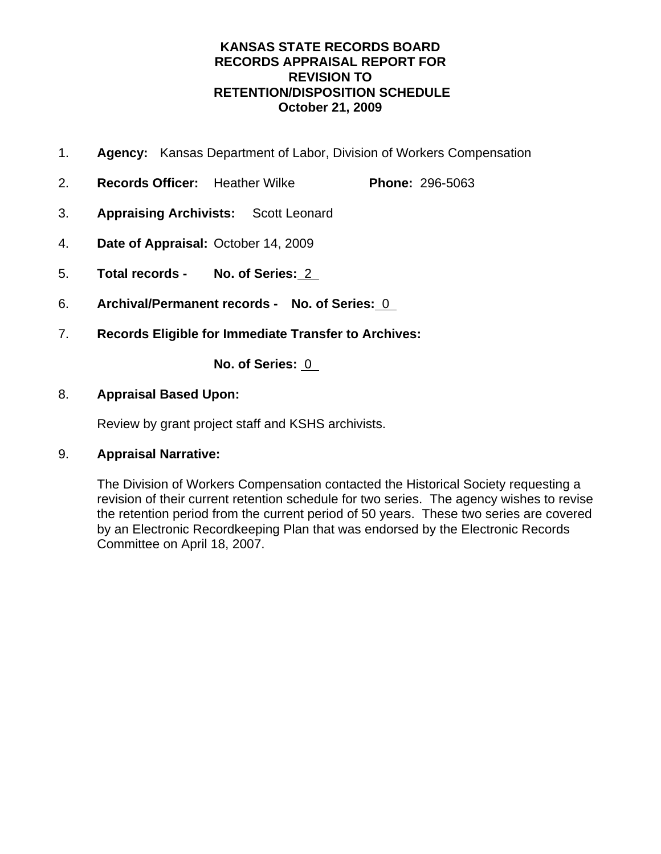- 1. **Agency:** Kansas Department of Labor, Division of Workers Compensation
- 2. **Records Officer:** Heather Wilke **Phone:** 296-5063
- 3. **Appraising Archivists:** Scott Leonard
- 4. **Date of Appraisal:** October 14, 2009
- 5. **Total records No. of Series:** 2
- 6. **Archival/Permanent records No. of Series:** 0
- 7. **Records Eligible for Immediate Transfer to Archives:**

**No. of Series:** 0

## 8. **Appraisal Based Upon:**

Review by grant project staff and KSHS archivists.

## 9. **Appraisal Narrative:**

The Division of Workers Compensation contacted the Historical Society requesting a revision of their current retention schedule for two series. The agency wishes to revise the retention period from the current period of 50 years. These two series are covered by an Electronic Recordkeeping Plan that was endorsed by the Electronic Records Committee on April 18, 2007.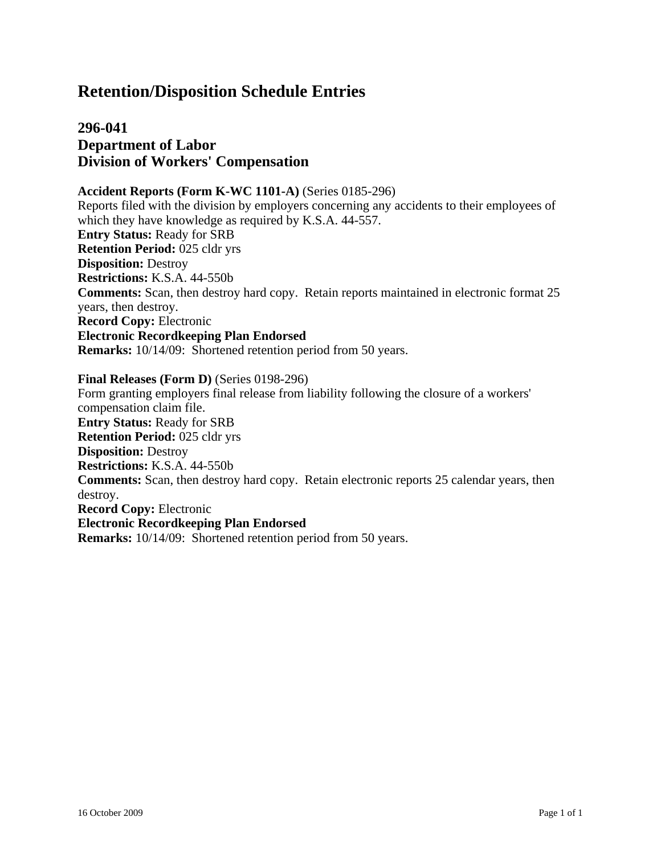**296-041 Department of Labor Division of Workers' Compensation**

#### **Accident Reports (Form K-WC 1101-A)** (Series 0185-296)

Reports filed with the division by employers concerning any accidents to their employees of which they have knowledge as required by K.S.A. 44-557. **Entry Status:** Ready for SRB **Retention Period:** 025 cldr yrs **Disposition:** Destroy **Restrictions:** K.S.A. 44-550b **Comments:** Scan, then destroy hard copy. Retain reports maintained in electronic format 25 years, then destroy. **Record Copy:** Electronic **Electronic Recordkeeping Plan Endorsed Remarks:** 10/14/09: Shortened retention period from 50 years.

#### **Final Releases (Form D)** (Series 0198-296)

Form granting employers final release from liability following the closure of a workers' compensation claim file. **Entry Status:** Ready for SRB **Retention Period:** 025 cldr yrs **Disposition:** Destroy **Restrictions:** K.S.A. 44-550b **Comments:** Scan, then destroy hard copy. Retain electronic reports 25 calendar years, then destroy. **Record Copy:** Electronic **Electronic Recordkeeping Plan Endorsed Remarks:** 10/14/09: Shortened retention period from 50 years.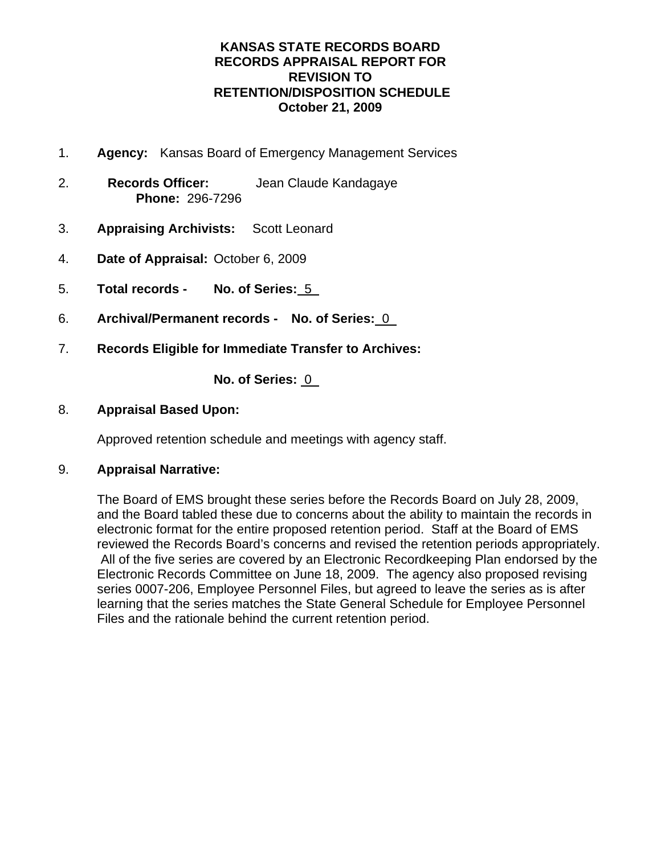- 1. **Agency:** Kansas Board of Emergency Management Services
- 2. **Records Officer:** Jean Claude Kandagaye **Phone:** 296-7296
- 3. **Appraising Archivists:** Scott Leonard
- 4. **Date of Appraisal:** October 6, 2009
- 5. **Total records No. of Series:** 5
- 6. **Archival/Permanent records No. of Series:** 0
- 7. **Records Eligible for Immediate Transfer to Archives:**

**No. of Series:** 0

## 8. **Appraisal Based Upon:**

Approved retention schedule and meetings with agency staff.

## 9. **Appraisal Narrative:**

The Board of EMS brought these series before the Records Board on July 28, 2009, and the Board tabled these due to concerns about the ability to maintain the records in electronic format for the entire proposed retention period. Staff at the Board of EMS reviewed the Records Board's concerns and revised the retention periods appropriately. All of the five series are covered by an Electronic Recordkeeping Plan endorsed by the Electronic Records Committee on June 18, 2009. The agency also proposed revising series 0007-206, Employee Personnel Files, but agreed to leave the series as is after learning that the series matches the State General Schedule for Employee Personnel Files and the rationale behind the current retention period.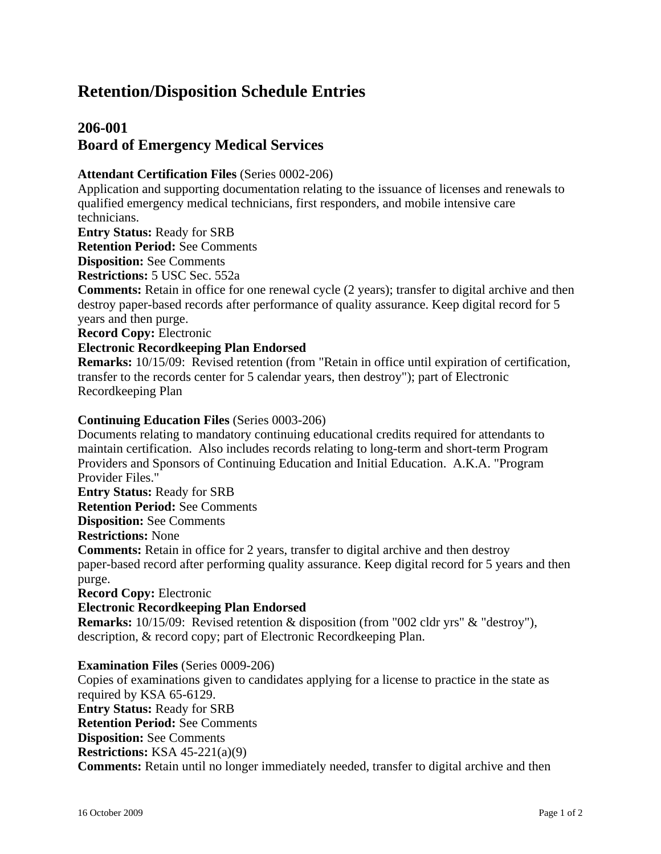## **206-001 Board of Emergency Medical Services**

#### **Attendant Certification Files** (Series 0002-206)

Application and supporting documentation relating to the issuance of licenses and renewals to qualified emergency medical technicians, first responders, and mobile intensive care technicians.

**Entry Status:** Ready for SRB

**Retention Period:** See Comments

**Disposition:** See Comments

**Restrictions:** 5 USC Sec. 552a

**Comments:** Retain in office for one renewal cycle (2 years); transfer to digital archive and then destroy paper-based records after performance of quality assurance. Keep digital record for 5 years and then purge.

**Record Copy:** Electronic

#### **Electronic Recordkeeping Plan Endorsed**

**Remarks:** 10/15/09: Revised retention (from "Retain in office until expiration of certification, transfer to the records center for 5 calendar years, then destroy"); part of Electronic Recordkeeping Plan

#### **Continuing Education Files** (Series 0003-206)

Documents relating to mandatory continuing educational credits required for attendants to maintain certification. Also includes records relating to long-term and short-term Program Providers and Sponsors of Continuing Education and Initial Education. A.K.A. "Program Provider Files."

**Entry Status:** Ready for SRB

**Retention Period:** See Comments

**Disposition:** See Comments

**Restrictions:** None

**Comments:** Retain in office for 2 years, transfer to digital archive and then destroy paper-based record after performing quality assurance. Keep digital record for 5 years and then purge.

**Record Copy:** Electronic

#### **Electronic Recordkeeping Plan Endorsed**

**Remarks:** 10/15/09: Revised retention & disposition (from "002 cldr yrs" & "destroy"), description, & record copy; part of Electronic Recordkeeping Plan.

#### **Examination Files** (Series 0009-206)

Copies of examinations given to candidates applying for a license to practice in the state as required by KSA 65-6129. **Entry Status:** Ready for SRB **Retention Period:** See Comments **Disposition:** See Comments **Restrictions:** KSA 45-221(a)(9) **Comments:** Retain until no longer immediately needed, transfer to digital archive and then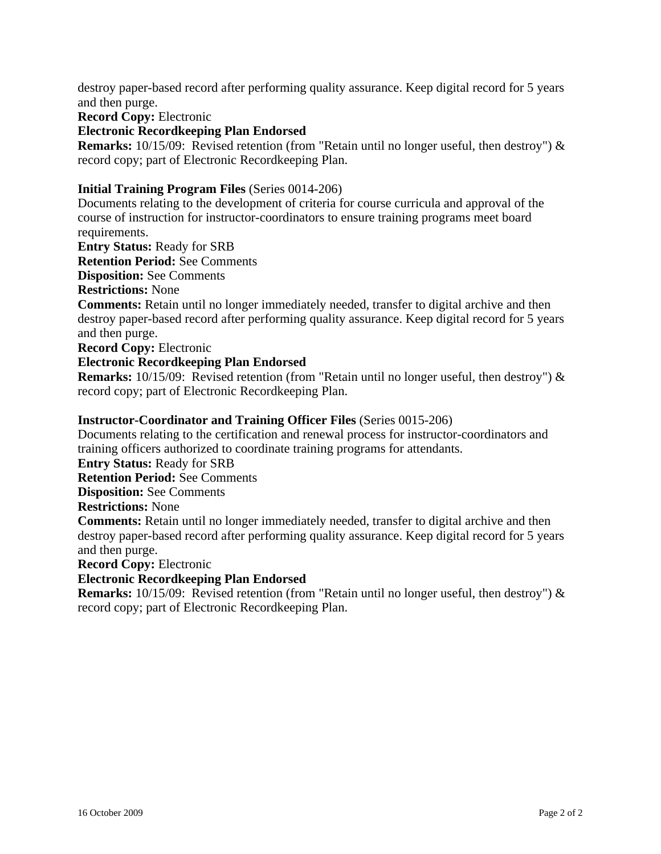destroy paper-based record after performing quality assurance. Keep digital record for 5 years and then purge.

**Record Copy:** Electronic

#### **Electronic Recordkeeping Plan Endorsed**

**Remarks:** 10/15/09: Revised retention (from "Retain until no longer useful, then destroy") & record copy; part of Electronic Recordkeeping Plan.

#### **Initial Training Program Files** (Series 0014-206)

Documents relating to the development of criteria for course curricula and approval of the course of instruction for instructor-coordinators to ensure training programs meet board requirements.

**Entry Status:** Ready for SRB

**Retention Period:** See Comments

**Disposition:** See Comments

**Restrictions:** None

**Comments:** Retain until no longer immediately needed, transfer to digital archive and then destroy paper-based record after performing quality assurance. Keep digital record for 5 years and then purge.

**Record Copy:** Electronic

#### **Electronic Recordkeeping Plan Endorsed**

**Remarks:** 10/15/09: Revised retention (from "Retain until no longer useful, then destroy") & record copy; part of Electronic Recordkeeping Plan.

#### **Instructor-Coordinator and Training Officer Files** (Series 0015-206)

Documents relating to the certification and renewal process for instructor-coordinators and training officers authorized to coordinate training programs for attendants.

**Entry Status:** Ready for SRB

**Retention Period:** See Comments

**Disposition:** See Comments

#### **Restrictions:** None

**Comments:** Retain until no longer immediately needed, transfer to digital archive and then destroy paper-based record after performing quality assurance. Keep digital record for 5 years and then purge.

**Record Copy:** Electronic

#### **Electronic Recordkeeping Plan Endorsed**

**Remarks:** 10/15/09: Revised retention (from "Retain until no longer useful, then destroy") & record copy; part of Electronic Recordkeeping Plan.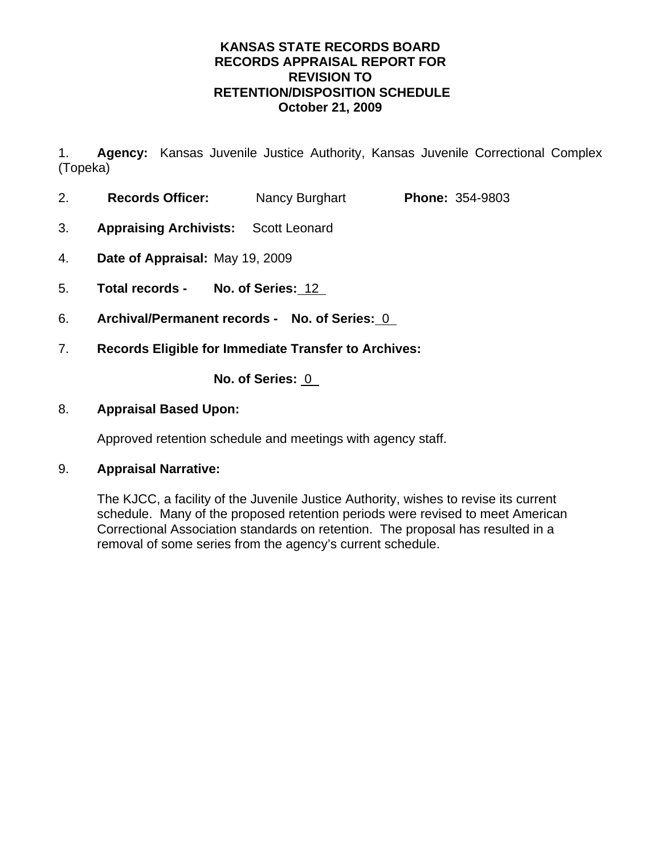1. **Agency:** Kansas Juvenile Justice Authority, Kansas Juvenile Correctional Complex (Topeka)

- 2. **Records Officer:** Nancy Burghart **Phone:** 354-9803
- 3. **Appraising Archivists:** Scott Leonard
- 4. **Date of Appraisal:** May 19, 2009
- 5. **Total records No. of Series:** 12
- 6. **Archival/Permanent records No. of Series:** 0
- 7. **Records Eligible for Immediate Transfer to Archives:**

**No. of Series:** 0

### 8. **Appraisal Based Upon:**

Approved retention schedule and meetings with agency staff.

#### 9. **Appraisal Narrative:**

The KJCC, a facility of the Juvenile Justice Authority, wishes to revise its current schedule. Many of the proposed retention periods were revised to meet American Correctional Association standards on retention. The proposal has resulted in a removal of some series from the agency's current schedule.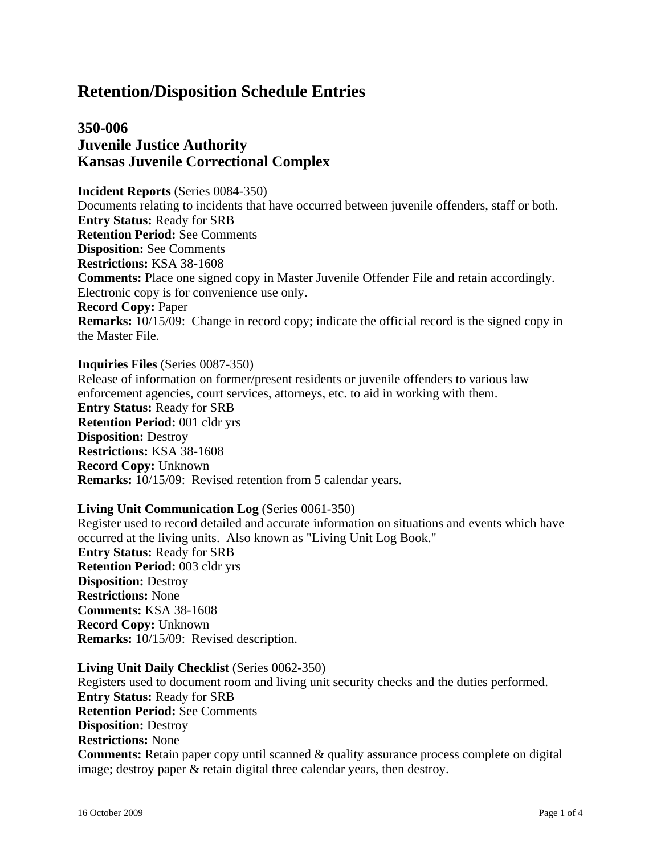## **350-006 Juvenile Justice Authority Kansas Juvenile Correctional Complex**

**Incident Reports** (Series 0084-350) Documents relating to incidents that have occurred between juvenile offenders, staff or both. **Entry Status:** Ready for SRB **Retention Period:** See Comments **Disposition:** See Comments **Restrictions:** KSA 38-1608 **Comments:** Place one signed copy in Master Juvenile Offender File and retain accordingly. Electronic copy is for convenience use only. **Record Copy:** Paper **Remarks:** 10/15/09: Change in record copy; indicate the official record is the signed copy in the Master File.

**Inquiries Files** (Series 0087-350)

Release of information on former/present residents or juvenile offenders to various law enforcement agencies, court services, attorneys, etc. to aid in working with them. **Entry Status:** Ready for SRB **Retention Period:** 001 cldr yrs **Disposition:** Destroy **Restrictions:** KSA 38-1608 **Record Copy:** Unknown **Remarks:** 10/15/09: Revised retention from 5 calendar years.

#### **Living Unit Communication Log** (Series 0061-350)

Register used to record detailed and accurate information on situations and events which have occurred at the living units. Also known as "Living Unit Log Book." **Entry Status:** Ready for SRB **Retention Period:** 003 cldr yrs **Disposition:** Destroy **Restrictions:** None **Comments:** KSA 38-1608 **Record Copy:** Unknown **Remarks:** 10/15/09: Revised description.

#### **Living Unit Daily Checklist** (Series 0062-350)

Registers used to document room and living unit security checks and the duties performed. **Entry Status:** Ready for SRB **Retention Period:** See Comments **Disposition:** Destroy **Restrictions:** None **Comments:** Retain paper copy until scanned & quality assurance process complete on digital image; destroy paper & retain digital three calendar years, then destroy.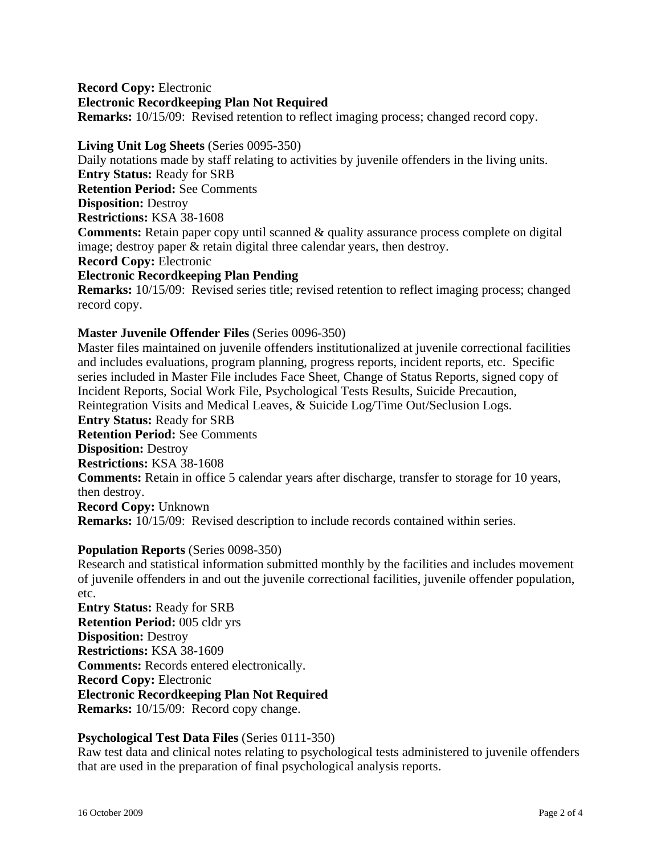**Record Copy:** Electronic **Electronic Recordkeeping Plan Not Required Remarks:** 10/15/09: Revised retention to reflect imaging process; changed record copy.

#### **Living Unit Log Sheets** (Series 0095-350)

Daily notations made by staff relating to activities by juvenile offenders in the living units. **Entry Status:** Ready for SRB **Retention Period:** See Comments **Disposition:** Destroy **Restrictions:** KSA 38-1608 **Comments:** Retain paper copy until scanned & quality assurance process complete on digital image; destroy paper & retain digital three calendar years, then destroy. **Record Copy:** Electronic **Electronic Recordkeeping Plan Pending**

**Remarks:** 10/15/09: Revised series title; revised retention to reflect imaging process; changed record copy.

#### **Master Juvenile Offender Files** (Series 0096-350)

Master files maintained on juvenile offenders institutionalized at juvenile correctional facilities and includes evaluations, program planning, progress reports, incident reports, etc. Specific series included in Master File includes Face Sheet, Change of Status Reports, signed copy of Incident Reports, Social Work File, Psychological Tests Results, Suicide Precaution, Reintegration Visits and Medical Leaves, & Suicide Log/Time Out/Seclusion Logs. **Entry Status:** Ready for SRB **Retention Period:** See Comments **Disposition:** Destroy **Restrictions:** KSA 38-1608 **Comments:** Retain in office 5 calendar years after discharge, transfer to storage for 10 years, then destroy. **Record Copy:** Unknown **Remarks:** 10/15/09: Revised description to include records contained within series.

#### **Population Reports** (Series 0098-350)

Research and statistical information submitted monthly by the facilities and includes movement of juvenile offenders in and out the juvenile correctional facilities, juvenile offender population, etc.

**Entry Status:** Ready for SRB **Retention Period:** 005 cldr yrs **Disposition:** Destroy **Restrictions:** KSA 38-1609 **Comments:** Records entered electronically. **Record Copy:** Electronic **Electronic Recordkeeping Plan Not Required Remarks:** 10/15/09: Record copy change.

#### **Psychological Test Data Files** (Series 0111-350)

Raw test data and clinical notes relating to psychological tests administered to juvenile offenders that are used in the preparation of final psychological analysis reports.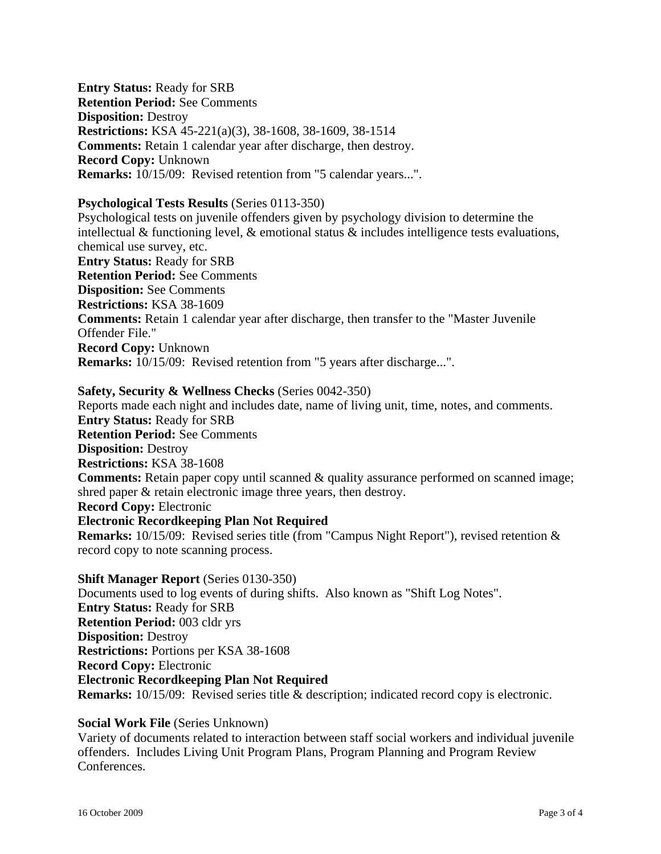**Entry Status:** Ready for SRB **Retention Period:** See Comments **Disposition:** Destroy **Restrictions:** KSA 45-221(a)(3), 38-1608, 38-1609, 38-1514 **Comments:** Retain 1 calendar year after discharge, then destroy. **Record Copy:** Unknown **Remarks:** 10/15/09: Revised retention from "5 calendar years...".

#### **Psychological Tests Results** (Series 0113-350)

Psychological tests on juvenile offenders given by psychology division to determine the intellectual & functioning level,  $\&$  emotional status  $\&$  includes intelligence tests evaluations, chemical use survey, etc. **Entry Status:** Ready for SRB **Retention Period:** See Comments **Disposition:** See Comments **Restrictions:** KSA 38-1609 **Comments:** Retain 1 calendar year after discharge, then transfer to the "Master Juvenile Offender File." **Record Copy:** Unknown **Remarks:** 10/15/09: Revised retention from "5 years after discharge...".

**Safety, Security & Wellness Checks** (Series 0042-350) Reports made each night and includes date, name of living unit, time, notes, and comments. **Entry Status:** Ready for SRB **Retention Period:** See Comments **Disposition:** Destroy **Restrictions:** KSA 38-1608 **Comments:** Retain paper copy until scanned & quality assurance performed on scanned image; shred paper & retain electronic image three years, then destroy. **Record Copy:** Electronic **Electronic Recordkeeping Plan Not Required Remarks:** 10/15/09: Revised series title (from "Campus Night Report"), revised retention & record copy to note scanning process.

**Shift Manager Report** (Series 0130-350) Documents used to log events of during shifts. Also known as "Shift Log Notes". **Entry Status:** Ready for SRB **Retention Period:** 003 cldr yrs **Disposition:** Destroy **Restrictions:** Portions per KSA 38-1608 **Record Copy:** Electronic **Electronic Recordkeeping Plan Not Required Remarks:** 10/15/09: Revised series title & description; indicated record copy is electronic.

#### **Social Work File** (Series Unknown)

Variety of documents related to interaction between staff social workers and individual juvenile offenders. Includes Living Unit Program Plans, Program Planning and Program Review Conferences.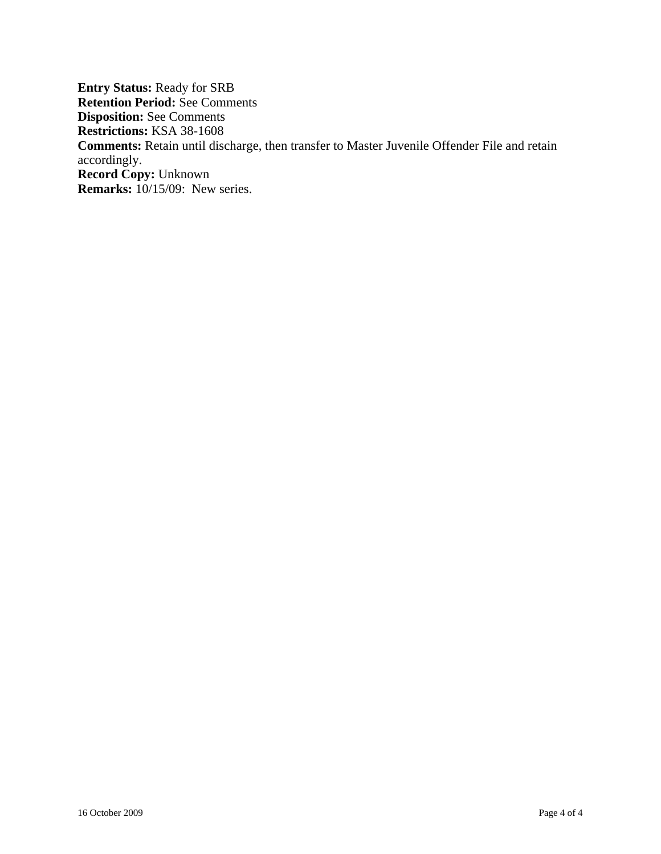**Entry Status:** Ready for SRB **Retention Period:** See Comments **Disposition:** See Comments **Restrictions:** KSA 38-1608 **Comments:** Retain until discharge, then transfer to Master Juvenile Offender File and retain accordingly. **Record Copy:** Unknown **Remarks:** 10/15/09: New series.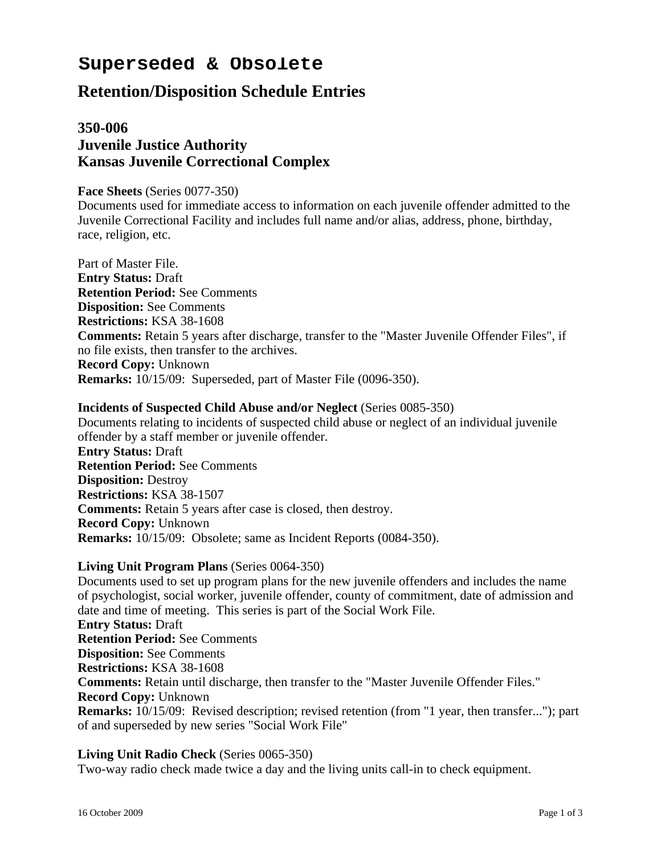# **Superseded & Obsolete**

## **Retention/Disposition Schedule Entries**

## **350-006 Juvenile Justice Authority Kansas Juvenile Correctional Complex**

#### **Face Sheets** (Series 0077-350)

Documents used for immediate access to information on each juvenile offender admitted to the Juvenile Correctional Facility and includes full name and/or alias, address, phone, birthday, race, religion, etc.

Part of Master File. **Entry Status:** Draft **Retention Period:** See Comments **Disposition:** See Comments **Restrictions:** KSA 38-1608 **Comments:** Retain 5 years after discharge, transfer to the "Master Juvenile Offender Files", if no file exists, then transfer to the archives. **Record Copy:** Unknown **Remarks:** 10/15/09: Superseded, part of Master File (0096-350).

#### **Incidents of Suspected Child Abuse and/or Neglect** (Series 0085-350)

Documents relating to incidents of suspected child abuse or neglect of an individual juvenile offender by a staff member or juvenile offender. **Entry Status:** Draft **Retention Period:** See Comments **Disposition:** Destroy **Restrictions:** KSA 38-1507 **Comments:** Retain 5 years after case is closed, then destroy. **Record Copy:** Unknown **Remarks:** 10/15/09: Obsolete; same as Incident Reports (0084-350).

#### **Living Unit Program Plans** (Series 0064-350)

Documents used to set up program plans for the new juvenile offenders and includes the name of psychologist, social worker, juvenile offender, county of commitment, date of admission and date and time of meeting. This series is part of the Social Work File. **Entry Status:** Draft

**Retention Period:** See Comments **Disposition:** See Comments **Restrictions:** KSA 38-1608 **Comments:** Retain until discharge, then transfer to the "Master Juvenile Offender Files." **Record Copy:** Unknown **Remarks:** 10/15/09: Revised description; revised retention (from "1 year, then transfer..."); part of and superseded by new series "Social Work File"

#### **Living Unit Radio Check** (Series 0065-350)

Two-way radio check made twice a day and the living units call-in to check equipment.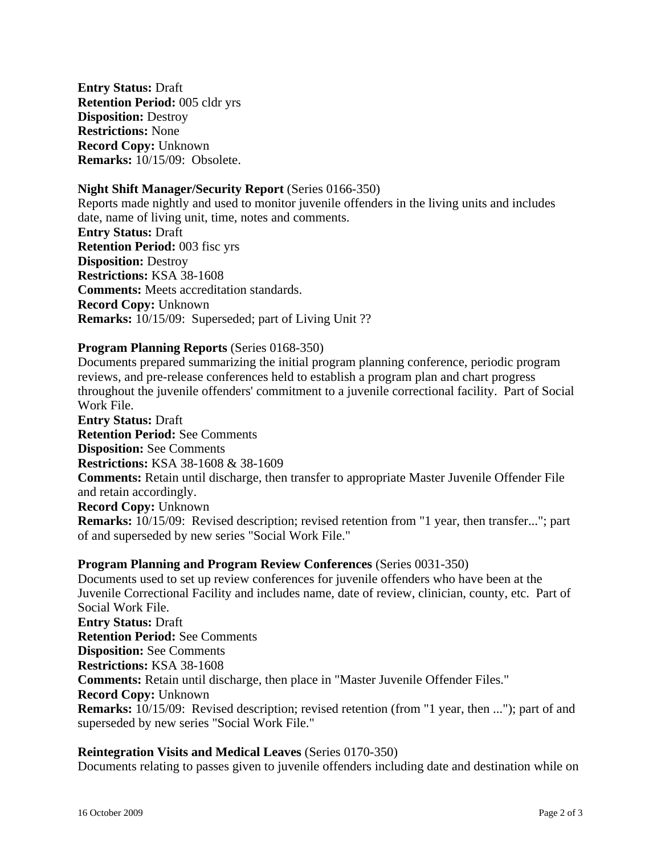**Entry Status:** Draft **Retention Period:** 005 cldr yrs **Disposition:** Destroy **Restrictions:** None **Record Copy:** Unknown **Remarks:** 10/15/09: Obsolete.

#### **Night Shift Manager/Security Report** (Series 0166-350)

Reports made nightly and used to monitor juvenile offenders in the living units and includes date, name of living unit, time, notes and comments. **Entry Status:** Draft **Retention Period:** 003 fisc yrs **Disposition:** Destroy **Restrictions:** KSA 38-1608 **Comments:** Meets accreditation standards. **Record Copy:** Unknown **Remarks:** 10/15/09: Superseded; part of Living Unit ??

#### **Program Planning Reports** (Series 0168-350)

Documents prepared summarizing the initial program planning conference, periodic program reviews, and pre-release conferences held to establish a program plan and chart progress throughout the juvenile offenders' commitment to a juvenile correctional facility. Part of Social Work File.

**Entry Status:** Draft **Retention Period:** See Comments **Disposition:** See Comments **Restrictions:** KSA 38-1608 & 38-1609 **Comments:** Retain until discharge, then transfer to appropriate Master Juvenile Offender File and retain accordingly. **Record Copy:** Unknown **Remarks:** 10/15/09: Revised description; revised retention from "1 year, then transfer..."; part of and superseded by new series "Social Work File."

#### **Program Planning and Program Review Conferences** (Series 0031-350)

Documents used to set up review conferences for juvenile offenders who have been at the Juvenile Correctional Facility and includes name, date of review, clinician, county, etc. Part of Social Work File. **Entry Status:** Draft **Retention Period:** See Comments **Disposition:** See Comments **Restrictions:** KSA 38-1608 **Comments:** Retain until discharge, then place in "Master Juvenile Offender Files." **Record Copy:** Unknown **Remarks:** 10/15/09: Revised description; revised retention (from "1 year, then ..."); part of and superseded by new series "Social Work File."

#### **Reintegration Visits and Medical Leaves** (Series 0170-350)

Documents relating to passes given to juvenile offenders including date and destination while on